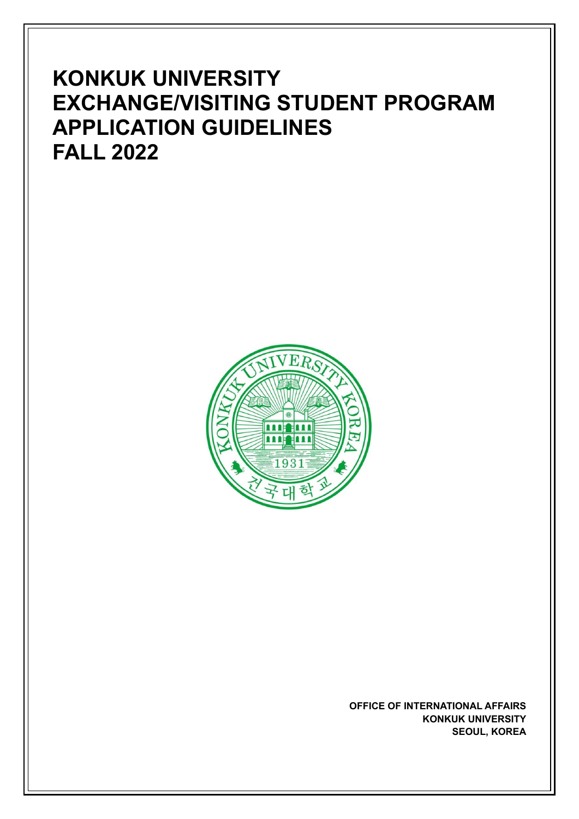# **KONKUK UNIVERSITY EXCHANGE/VISITING STUDENT PROGRAM APPLICATION GUIDELINES FALL 2022**



**OFFICE OF INTERNATIONAL AFFAIRS KONKUK UNIVERSITY SEOUL, KOREA**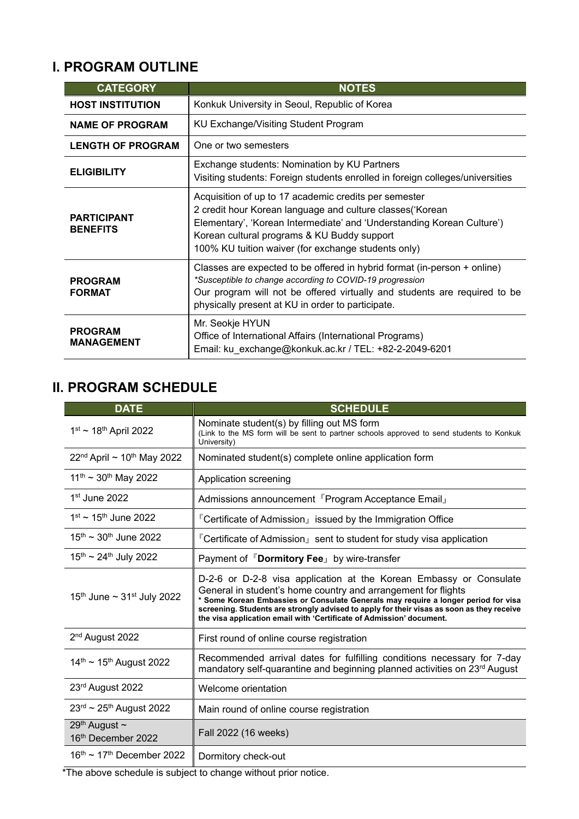# **I. PROGRAM OUTLINE**

| <b>CATEGORY</b>                       | <b>NOTES</b>                                                                                                                                                                                                                                                                                        |  |
|---------------------------------------|-----------------------------------------------------------------------------------------------------------------------------------------------------------------------------------------------------------------------------------------------------------------------------------------------------|--|
| <b>HOST INSTITUTION</b>               | Konkuk University in Seoul, Republic of Korea                                                                                                                                                                                                                                                       |  |
| <b>NAME OF PROGRAM</b>                | KU Exchange/Visiting Student Program                                                                                                                                                                                                                                                                |  |
| <b>LENGTH OF PROGRAM</b>              | One or two semesters                                                                                                                                                                                                                                                                                |  |
| <b>ELIGIBILITY</b>                    | Exchange students: Nomination by KU Partners<br>Visiting students: Foreign students enrolled in foreign colleges/universities                                                                                                                                                                       |  |
| <b>PARTICIPANT</b><br><b>BENEFITS</b> | Acquisition of up to 17 academic credits per semester<br>2 credit hour Korean language and culture classes ('Korean<br>Elementary', 'Korean Intermediate' and 'Understanding Korean Culture')<br>Korean cultural programs & KU Buddy support<br>100% KU tuition waiver (for exchange students only) |  |
| <b>PROGRAM</b><br><b>FORMAT</b>       | Classes are expected to be offered in hybrid format (in-person + online)<br>*Susceptible to change according to COVID-19 progression<br>Our program will not be offered virtually and students are required to be<br>physically present at KU in order to participate.                              |  |
| <b>PROGRAM</b><br><b>MANAGEMENT</b>   | Mr. Seokje HYUN<br>Office of International Affairs (International Programs)<br>Email: ku exchange@konkuk.ac.kr / TEL: +82-2-2049-6201                                                                                                                                                               |  |

# **II. PROGRAM SCHEDULE**

| <b>DATE</b>                                                      | <b>SCHEDULE</b>                                                                                                                                                                                                                                                                                                                                                                                |  |
|------------------------------------------------------------------|------------------------------------------------------------------------------------------------------------------------------------------------------------------------------------------------------------------------------------------------------------------------------------------------------------------------------------------------------------------------------------------------|--|
| $1^{st}$ ~ 18 <sup>th</sup> April 2022                           | Nominate student(s) by filling out MS form<br>(Link to the MS form will be sent to partner schools approved to send students to Konkuk<br>University)                                                                                                                                                                                                                                          |  |
| $22nd$ April ~ 10 <sup>th</sup> May 2022                         | Nominated student(s) complete online application form                                                                                                                                                                                                                                                                                                                                          |  |
| $11^{th}$ ~ 30 <sup>th</sup> May 2022                            | Application screening                                                                                                                                                                                                                                                                                                                                                                          |  |
| $1st$ June 2022                                                  | Admissions announcement <sup>r</sup> Program Acceptance Email <sub>J</sub>                                                                                                                                                                                                                                                                                                                     |  |
| $1^{\rm st}$ ~ 15 <sup>th</sup> June 2022                        | 『Certificate of Admission』 issued by the Immigration Office                                                                                                                                                                                                                                                                                                                                    |  |
| $15^{th}$ ~ 30 <sup>th</sup> June 2022                           | 『Certificate of Admission』 sent to student for study visa application                                                                                                                                                                                                                                                                                                                          |  |
| $15^{th}$ ~ 24 <sup>th</sup> July 2022                           | Payment of <sup>F</sup> Dormitory Fee <sub>J</sub> by wire-transfer                                                                                                                                                                                                                                                                                                                            |  |
| 15 <sup>th</sup> June $\sim$ 31 <sup>st</sup> July 2022          | D-2-6 or D-2-8 visa application at the Korean Embassy or Consulate<br>General in student's home country and arrangement for flights<br>* Some Korean Embassies or Consulate Generals may require a longer period for visa<br>screening. Students are strongly advised to apply for their visas as soon as they receive<br>the visa application email with 'Certificate of Admission' document. |  |
| 2 <sup>nd</sup> August 2022                                      | First round of online course registration                                                                                                                                                                                                                                                                                                                                                      |  |
| $14^{\text{th}} \sim 15^{\text{th}}$ August 2022                 | Recommended arrival dates for fulfilling conditions necessary for 7-day<br>mandatory self-quarantine and beginning planned activities on 23 <sup>rd</sup> August                                                                                                                                                                                                                               |  |
| 23rd August 2022                                                 | Welcome orientation                                                                                                                                                                                                                                                                                                                                                                            |  |
| $23^{\text{rd}} \sim 25^{\text{th}}$ August 2022                 | Main round of online course registration                                                                                                                                                                                                                                                                                                                                                       |  |
| 29 <sup>th</sup> August $\sim$<br>16 <sup>th</sup> December 2022 | Fall 2022 (16 weeks)                                                                                                                                                                                                                                                                                                                                                                           |  |
| $16th$ ~ 17 <sup>th</sup> December 2022                          | Dormitory check-out                                                                                                                                                                                                                                                                                                                                                                            |  |

\*The above schedule is subject to change without prior notice.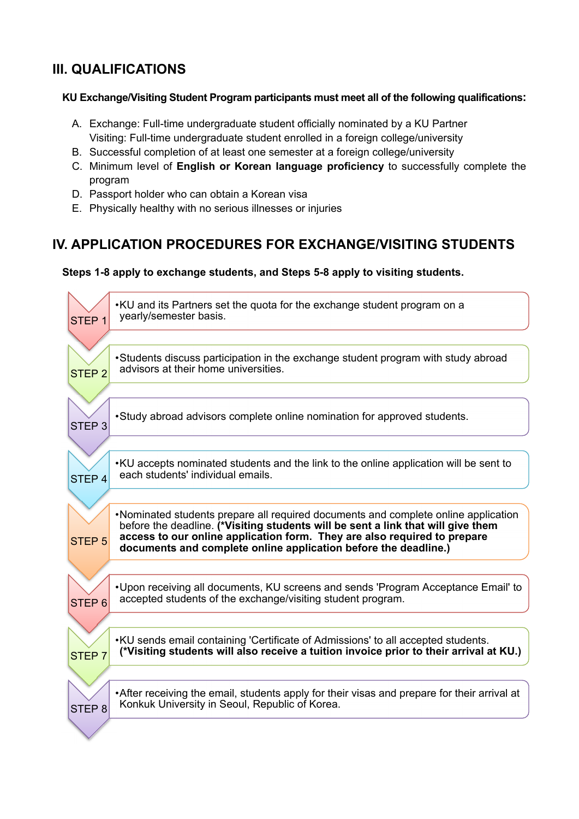### **III. QUALIFICATIONS**

### **KU Exchange/Visiting Student Program participants must meet all of the following qualifications:**

- A. Exchange: Full-time undergraduate student officially nominated by a KU Partner Visiting: Full-time undergraduate student enrolled in a foreign college/university
- B. Successful completion of at least one semester at a foreign college/university
- C. Minimum level of **English or Korean language proficiency** to successfully complete the program
- D. Passport holder who can obtain a Korean visa
- E. Physically healthy with no serious illnesses or injuries

### **IV. APPLICATION PROCEDURES FOR EXCHANGE/VISITING STUDENTS**

### **Steps 1-8 apply to exchange students, and Steps 5-8 apply to visiting students.**

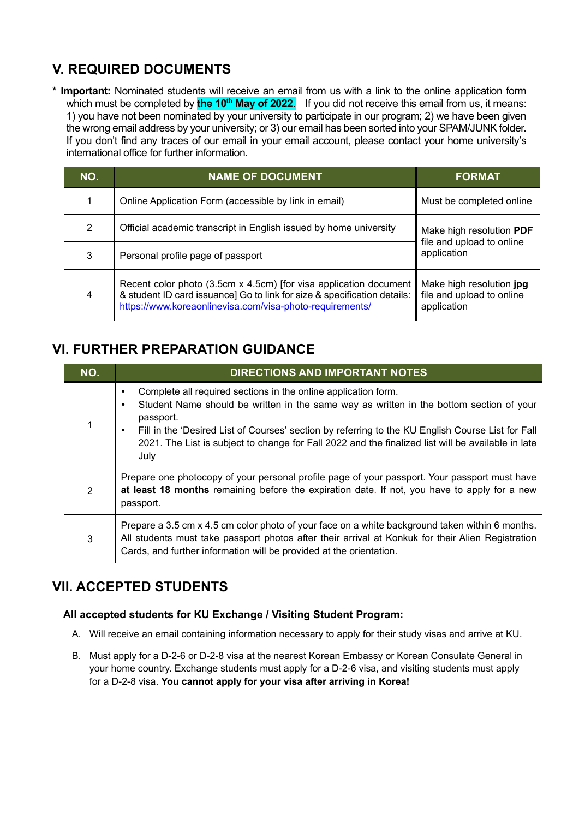# **V. REQUIRED DOCUMENTS**

**\* Important:** Nominated students will receive an email from us with a link to the online application form which must be completed by **the 10<sup>th</sup> May of 2022**. If you did not receive this email from us, it means: 1) you have not been nominated by your university to participate in our program; 2) we have been given the wrong email address by your university; or 3) our email has been sorted into your SPAM/JUNK folder. If you don't find any traces of our email in your email account, please contact your home university's international office for further information.

| NO. | <b>NAME OF DOCUMENT</b>                                                                                                                                                                                   | <b>FORMAT</b>                                                        |
|-----|-----------------------------------------------------------------------------------------------------------------------------------------------------------------------------------------------------------|----------------------------------------------------------------------|
|     | Online Application Form (accessible by link in email)                                                                                                                                                     | Must be completed online                                             |
| 2   | Official academic transcript in English issued by home university                                                                                                                                         | Make high resolution PDF                                             |
| 3   | file and upload to online<br>application<br>Personal profile page of passport                                                                                                                             |                                                                      |
| 4   | Recent color photo (3.5cm x 4.5cm) [for visa application document<br>& student ID card issuance] Go to link for size & specification details:<br>https://www.koreaonlinevisa.com/visa-photo-requirements/ | Make high resolution jpg<br>file and upload to online<br>application |

### **VI. FURTHER PREPARATION GUIDANCE**

| NO. | <b>DIRECTIONS AND IMPORTANT NOTES</b>                                                                                                                                                                                                                                                                                                                                                          |  |
|-----|------------------------------------------------------------------------------------------------------------------------------------------------------------------------------------------------------------------------------------------------------------------------------------------------------------------------------------------------------------------------------------------------|--|
|     | Complete all required sections in the online application form.<br>Student Name should be written in the same way as written in the bottom section of your<br>passport.<br>Fill in the 'Desired List of Courses' section by referring to the KU English Course List for Fall<br>٠<br>2021. The List is subject to change for Fall 2022 and the finalized list will be available in late<br>July |  |
| 2   | Prepare one photocopy of your personal profile page of your passport. Your passport must have<br>at least 18 months remaining before the expiration date. If not, you have to apply for a new<br>passport.                                                                                                                                                                                     |  |
| 3   | Prepare a 3.5 cm x 4.5 cm color photo of your face on a white background taken within 6 months.<br>All students must take passport photos after their arrival at Konkuk for their Alien Registration<br>Cards, and further information will be provided at the orientation.                                                                                                                    |  |

### **VII. ACCEPTED STUDENTS**

### **All accepted students for KU Exchange / Visiting Student Program:**

- A. Will receive an email containing information necessary to apply for their study visas and arrive at KU.
- B. Must apply for a D-2-6 or D-2-8 visa at the nearest Korean Embassy or Korean Consulate General in your home country. Exchange students must apply for a D-2-6 visa, and visiting students must apply for a D-2-8 visa. **You cannot apply for your visa after arriving in Korea!**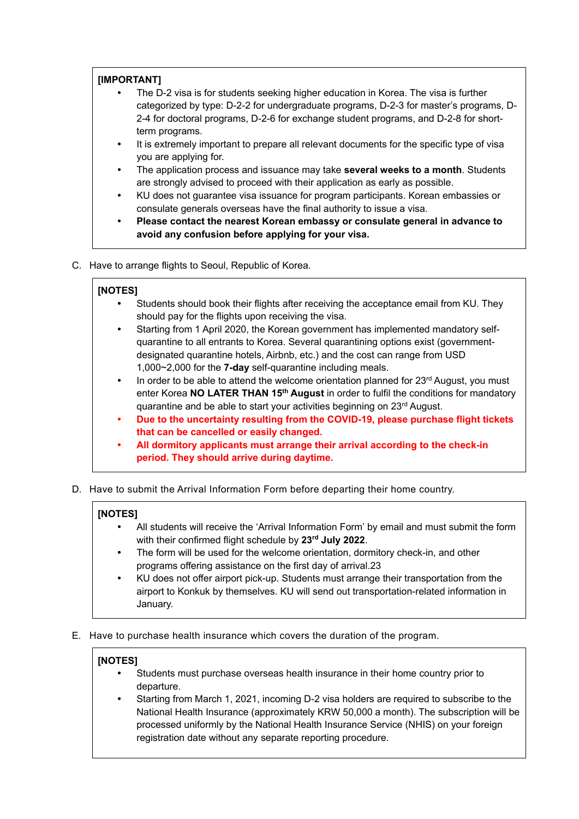### **[IMPORTANT]**

- The D-2 visa is for students seeking higher education in Korea. The visa is further categorized by type: D-2-2 for undergraduate programs, D-2-3 for master's programs, D-2-4 for doctoral programs, D-2-6 for exchange student programs, and D-2-8 for shortterm programs.
- It is extremely important to prepare all relevant documents for the specific type of visa you are applying for.
- The application process and issuance may take **several weeks to a month**. Students are strongly advised to proceed with their application as early as possible.
- KU does not guarantee visa issuance for program participants. Korean embassies or consulate generals overseas have the final authority to issue a visa.
- **Please contact the nearest Korean embassy or consulate general in advance to avoid any confusion before applying for your visa.**
- C. Have to arrange flights to Seoul, Republic of Korea.

#### **[NOTES]**

- Students should book their flights after receiving the acceptance email from KU. They should pay for the flights upon receiving the visa.
- Starting from 1 April 2020, the Korean government has implemented mandatory selfquarantine to all entrants to Korea. Several quarantining options exist (governmentdesignated quarantine hotels, Airbnb, etc.) and the cost can range from USD 1,000~2,000 for the **7-day** self-quarantine including meals.
- In order to be able to attend the welcome orientation planned for 23<sup>rd</sup> August, you must enter Korea **NO LATER THAN 15th August** in order to fulfil the conditions for mandatory quarantine and be able to start your activities beginning on 23rd August.
- **Due to the uncertainty resulting from the COVID-19, please purchase flight tickets that can be cancelled or easily changed.**
- **All dormitory applicants must arrange their arrival according to the check-in period. They should arrive during daytime.**
- D. Have to submit the Arrival Information Form before departing their home country.

#### **[NOTES]**

- All students will receive the 'Arrival Information Form' by email and must submit the form with their confirmed flight schedule by **23rd July 2022**.
- The form will be used for the welcome orientation, dormitory check-in, and other programs offering assistance on the first day of arrival.23
- KU does not offer airport pick-up. Students must arrange their transportation from the airport to Konkuk by themselves. KU will send out transportation-related information in January.
- E. Have to purchase health insurance which covers the duration of the program.

### **[NOTES]**

- Students must purchase overseas health insurance in their home country prior to departure.
- Starting from March 1, 2021, incoming D-2 visa holders are required to subscribe to the National Health Insurance (approximately KRW 50,000 a month). The subscription will be processed uniformly by the National Health Insurance Service (NHIS) on your foreign registration date without any separate reporting procedure.